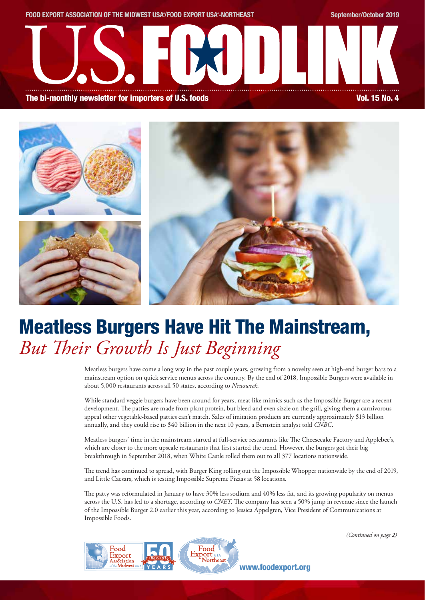



# Meatless Burgers Have Hit The Mainstream, *But Their Growth Is Just Beginning*

Meatless burgers have come a long way in the past couple years, growing from a novelty seen at high-end burger bars to a mainstream option on quick service menus across the country. By the end of 2018, Impossible Burgers were available in about 5,000 restaurants across all 50 states, according to *Newsweek*.

While standard veggie burgers have been around for years, meat-like mimics such as the Impossible Burger are a recent development. The patties are made from plant protein, but bleed and even sizzle on the grill, giving them a carnivorous appeal other vegetable-based patties can't match. Sales of imitation products are currently approximately \$13 billion annually, and they could rise to \$40 billion in the next 10 years, a Bernstein analyst told *CNBC*.

Meatless burgers' time in the mainstream started at full-service restaurants like The Cheesecake Factory and Applebee's, which are closer to the more upscale restaurants that first started the trend. However, the burgers got their big breakthrough in September 2018, when White Castle rolled them out to all 377 locations nationwide.

The trend has continued to spread, with Burger King rolling out the Impossible Whopper nationwide by the end of 2019, and Little Caesars, which is testing Impossible Supreme Pizzas at 58 locations.

The patty was reformulated in January to have 30% less sodium and 40% less fat, and its growing popularity on menus across the U.S. has led to a shortage, according to *CNET*. The company has seen a 50% jump in revenue since the launch of the Impossible Burger 2.0 earlier this year, according to Jessica Appelgren, Vice President of Communications at Impossible Foods.



*(Continued on page 2)*

www.foodexport.org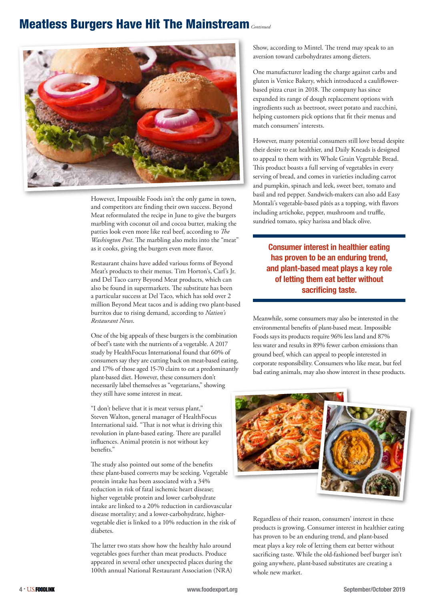### Meatless Burgers Have Hit The Mainstream *Continued*



However, Impossible Foods isn't the only game in town, and competitors are finding their own success. Beyond Meat reformulated the recipe in June to give the burgers marbling with coconut oil and cocoa butter, making the patties look even more like real beef, according to *The Washington Post*. The marbling also melts into the "meat" as it cooks, giving the burgers even more flavor.

Restaurant chains have added various forms of Beyond Meat's products to their menus. Tim Horton's, Carl's Jr. and Del Taco carry Beyond Meat products, which can also be found in supermarkets. The substitute has been a particular success at Del Taco, which has sold over 2 million Beyond Meat tacos and is adding two plant-based burritos due to rising demand, according to *Nation's Restaurant News*.

One of the big appeals of these burgers is the combination of beef's taste with the nutrients of a vegetable. A 2017 study by HealthFocus International found that 60% of consumers say they are cutting back on meat-based eating, and 17% of those aged 15-70 claim to eat a predominantly plant-based diet. However, these consumers don't necessarily label themselves as "vegetarians," showing they still have some interest in meat.

"I don't believe that it is meat versus plant," Steven Walton, general manager of HealthFocus International said. "That is not what is driving this revolution in plant-based eating. There are parallel influences. Animal protein is not without key benefits."

The study also pointed out some of the benefits these plant-based converts may be seeking. Vegetable protein intake has been associated with a 34% reduction in risk of fatal ischemic heart disease; higher vegetable protein and lower carbohydrate intake are linked to a 20% reduction in cardiovascular disease mortality; and a lower-carbohydrate, highervegetable diet is linked to a 10% reduction in the risk of diabetes.

The latter two stats show how the healthy halo around vegetables goes further than meat products. Produce appeared in several other unexpected places during the 100th annual National Restaurant Association (NRA)

Show, according to Mintel. The trend may speak to an aversion toward carbohydrates among dieters.

One manufacturer leading the charge against carbs and gluten is Venice Bakery, which introduced a cauliflowerbased pizza crust in 2018. The company has since expanded its range of dough replacement options with ingredients such as beetroot, sweet potato and zucchini, helping customers pick options that fit their menus and match consumers' interests.

However, many potential consumers still love bread despite their desire to eat healthier, and Daily Kneads is designed to appeal to them with its Whole Grain Vegetable Bread. This product boasts a full serving of vegetables in every serving of bread, and comes in varieties including carrot and pumpkin, spinach and leek, sweet beet, tomato and basil and red pepper. Sandwich-makers can also add Easy Montali's vegetable-based pâtés as a topping, with flavors including artichoke, pepper, mushroom and truffle, sundried tomato, spicy harissa and black olive.

Consumer interest in healthier eating has proven to be an enduring trend, and plant-based meat plays a key role of letting them eat better without sacrificing taste.

Meanwhile, some consumers may also be interested in the environmental benefits of plant-based meat. Impossible Foods says its products require 96% less land and 87% less water and results in 89% fewer carbon emissions than ground beef, which can appeal to people interested in corporate responsibility. Consumers who like meat, but feel bad eating animals, may also show interest in these products.



Regardless of their reason, consumers' interest in these products is growing. Consumer interest in healthier eating has proven to be an enduring trend, and plant-based meat plays a key role of letting them eat better without sacrificing taste. While the old-fashioned beef burger isn't going anywhere, plant-based substitutes are creating a whole new market.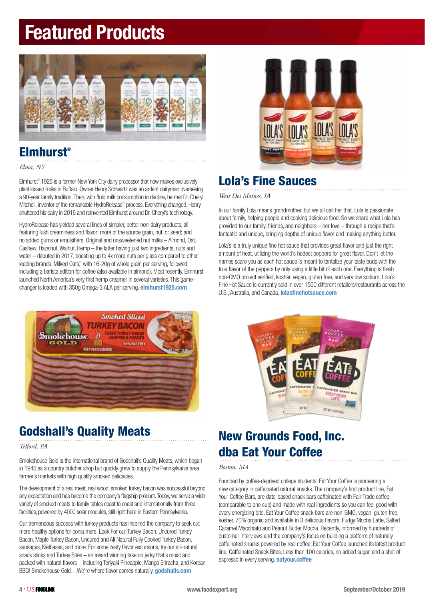# Featured Products



### Elmhurst®

*Elma, NY*

Elmhurst® 1925 is a former New York City dairy processor that now makes exclusively plant-based milks in Buffalo. Owner Henry Schwartz was an ardent dairyman overseeing a 90-year family tradition. Then, with fluid milk consumption in decline, he met Dr. Cheryl Mitchell, inventor of the remarkable HydroRelease™ process. Everything changed. Henry shuttered his dairy in 2016 and reinvented Elmhurst around Dr. Cheryl's technology.

HydroRelease has yielded several lines of simpler, better non-dairy products, all featuring lush creaminess and flavor; more of the source grain, nut, or seed; and no added gums or emulsifiers. Original and unsweetened nut milks – Almond, Oat, Cashew, Hazelnut, Walnut, Hemp – the latter having just two ingredients, nuts and water – debuted in 2017, boasting up to 4x more nuts per glass compared to other leading brands. Milked Oats,™ with 16-20g of whole grain per serving, followed, including a barista edition for coffee (also available in almond). Most recently, Elmhurst launched North America's very first hemp creamer in several varieties. This gamechanger is loaded with 350g Omega-3 ALA per serving. elmhurst1925.com



### Godshall's Quality Meats

*Telford, PA*

Smokehouse Gold is the international brand of Godshall's Quality Meats, which began in 1945 as a country butcher shop but quickly grew to supply the Pennsylvania area farmer's markets with high quality smoked delicacies.

The development of a real meat, real wood, smoked turkey bacon was successful beyond any expectation and has become the company's flagship product. Today, we serve a wide variety of smoked meats to family tables coast to coast and internationally from three facilities, powered by 4000 solar modules, still right here in Eastern Pennsylvania.

Our tremendous success with turkey products has inspired the company to seek out more healthy options for consumers. Look For our Turkey Bacon, Uncured Turkey Bacon, Maple Turkey Bacon, Uncured and All Natural Fully Cooked Turkey Bacon, sausages, Kielbasas, and more. For some zesty flavor excursions, try our all-natural snack sticks and Turkey Bites – an award winning take on jerky that's moist and packed with natural flavors – including Teriyaki Pineapple, Mango Sriracha, and Korean BBQ! Smokehouse Gold... We're where flavor comes naturally. godshalls.com



### Lola's Fine Sauces

*West Des Moines, IA* 

In our family Lola means grandmother, but we all call her that. Lola is passionate about family, helping people and cooking delicious food. So we share what Lola has provided to our family, friends, and neighbors – her love – through a recipe that's fantastic and unique, bringing depths of unique flavor and making anything better.

Lola's is a truly unique fine hot sauce that provides great flavor and just the right amount of heat, utilizing the world's hottest peppers for great flavor. Don't let the names scare you as each hot sauce is meant to tantalize your taste buds with the true flavor of the peppers by only using a little bit of each one. Everything is fresh non-GMO project verified, kosher, vegan, gluten free, and very low sodium. Lola's Fine Hot Sauce is currently sold in over 1500 different retailers/restaurants across the U.S., Australia, and Canada. lolasfinehotsauce.com



## New Grounds Food, Inc. dba Eat Your Coffee

### *Boston, MA*

Founded by coffee-deprived college students, Eat Your Coffee is pioneering a new category in caffeinated natural snacks. The company's first product line, Eat Your Coffee Bars, are date-based snack bars caffeinated with Fair Trade coffee (comparable to one cup) and made with real ingredients so you can feel good with every energizing bite. Eat Your Coffee snack bars are non-GMO, vegan, gluten free, kosher, 70% organic and available in 3 delicious flavors: Fudgy Mocha Latte, Salted Caramel Macchiato and Peanut Butter Mocha. Recently, informed by hundreds of customer interviews and the company's focus on building a platform of naturally caffeinated snacks powered by real coffee, Eat Your Coffee launched its latest product line: Caffeinated Snack Bites. Less than 100 calories, no added sugar, and a shot of espresso in every serving. **eatyour.coffee**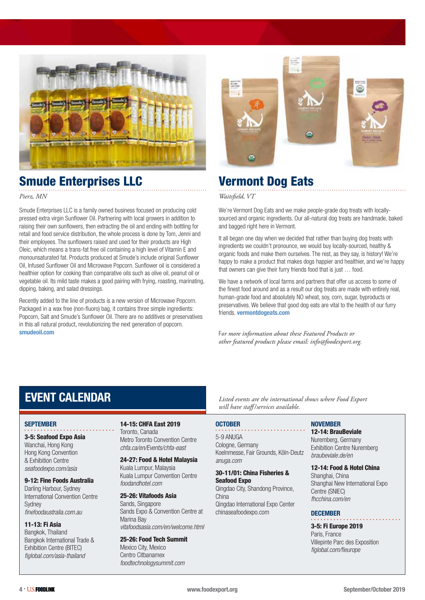

### Smude Enterprises LLC

*Pierz, MN*

Smude Enterprises LLC is a family owned business focused on producing cold pressed extra virgin Sunflower Oil. Partnering with local growers in addition to raising their own sunflowers, then extracting the oil and ending with bottling for retail and food service distribution, the whole process is done by Tom, Jenni and their employees. The sunflowers raised and used for their products are High Oleic, which means a trans-fat free oil containing a high level of Vitamin E and monounsaturated fat. Products produced at Smude's include original Sunflower Oil, Infused Sunflower Oil and Microwave Popcorn. Sunflower oil is considered a healthier option for cooking than comparative oils such as olive oil, peanut oil or vegetable oil. Its mild taste makes a good pairing with frying, roasting, marinating, dipping, baking, and salad dressings.

Recently added to the line of products is a new version of Microwave Popcorn. Packaged in a wax free (non-fluoro) bag, it contains three simple ingredients: Popcorn, Salt and Smude's Sunflower Oil. There are no additives or preservatives in this all natural product, revolutionizing the next generation of popcorn. smudeoil.com



### Vermont Dog Eats

*Waitsfield, VT*

We're Vermont Dog Eats and we make people-grade dog treats with locallysourced and organic ingredients. Our all-natural dog treats are handmade, baked and bagged right here in Vermont.

It all began one day when we decided that rather than buying dog treats with ingredients we couldn't pronounce, we would buy locally-sourced, healthy & organic foods and make them ourselves. The rest, as they say, is history! We're happy to make a product that makes dogs happier and healthier, and we're happy that owners can give their furry friends food that is just … food.

We have a network of local farms and partners that offer us access to some of the finest food around and as a result our dog treats are made with entirely real, human-grade food and absolutely NO wheat, soy, corn, sugar, byproducts or preservatives. We believe that good dog eats are vital to the health of our furry friends. vermontdogeats.com

F*or more information about these Featured Products or other featured products please email: info@foodexport.org.*

### EVENT CALENDAR

#### **SEPTEMBER**

### 3-5: Seafood Expo Asia

Wanchai, Hong Kong Hong Kong Convention & Exhibition Centre *seafoodexpo.com/asia* 

#### 9-12: Fine Foods Australia

Darling Harbour, Sydney International Convention Centre **Sydney** *finefoodaustralia.com.au* 

#### 11-13: Fi Asia

Bangkok, Thailand Bangkok International Trade & Exhibition Centre (BITEC) *figlobal.com/asia-thailand* 

### 14-15: CHFA East 2019

Toronto, Canada Metro Toronto Convention Centre *chfa.ca/en/Events/chfa-east* 

24-27: Food & Hotel Malaysia Kuala Lumpur, Malaysia Kuala Lumpur Convention Centre *foodandhotel.com*

### 25-26: Vitafoods Asia

Sands, Singapore Sands Expo & Convention Centre at Marina Bay *vitafoodsasia.com/en/welcome.html* 

25-26: Food Tech Summit Mexico City, Mexico

Centro Citbanamex *foodtechnologysummit.com*

*Listed events are the international shows where Food Export will have staff /services available.*

### **OCTOBER**

5-9 ANUGA Cologne, Germany Koelnmesse, Fair Grounds, Köln-Deutz *anuga.com* 

### 30-11/01: China Fisheries & Seafood Expo

Qingdao City, Shandong Province, China Qingdao International Expo Center chinaseafoodexpo.com

### NOVEMBER

### 12-14: BrauBeviale Nuremberg, Germany

Exhibition Centre Nuremberg *braubeviale.de/en*

### 12-14: Food & Hotel China

Shanghai, China Shanghai New International Expo Centre (SNIEC) *fhcchina.com/en* 

#### **DECEMBER**

3-5: Fi Europe 2019 Paris, France Villepinte Parc des Exposition *figlobal.com/fieurope*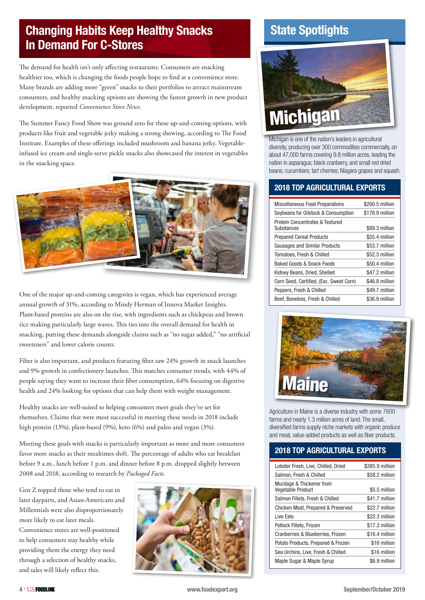### Changing Habits Keep Healthy Snacks In Demand For C-Stores

The demand for health isn't only affecting restaurants. Consumers are snacking healthier too, which is changing the foods people hope to find at a convenience store. Many brands are adding more "green" snacks to their portfolios to attract mainstream consumers, and healthy snacking options are showing the fastest growth in new product development, reported *Convenience Store News*.

The Summer Fancy Food Show was ground zero for these up-and-coming options, with products like fruit and vegetable jerky making a strong showing, according to The Food Institute. Examples of these offerings included mushroom and banana jerky. Vegetableinfused ice cream and single-serve pickle snacks also showcased the interest in vegetables in the snacking space.



One of the major up-and-coming categories is vegan, which has experienced average annual growth of 31%, according to Mindy Herman of Innova Market Insights. Plant-based proteins are also on the rise, with ingredients such as chickpeas and brown rice making particularly large waves. This ties into the overall demand for health in snacking, putting these demands alongside claims such as "no sugar added," "no artificial sweeteners" and lower calorie counts.

Fiber is also important, and products featuring fiber saw 24% growth in snack launches and 9% growth in confectionery launches. This matches consumer trends, with 44% of people saying they want to increase their fiber consumption, 64% focusing on digestive health and 24% looking for options that can help them with weight management.

Healthy snacks are well-suited to helping consumers meet goals they've set for themselves. Claims that were most successful in meeting these needs in 2018 include high protein (13%), plant-based (9%), keto (6%) and paleo and vegan (3%).

Meeting these goals with snacks is particularly important as more and more consumers favor more snacks as their mealtimes shift. The percentage of adults who eat breakfast before 9 a.m., lunch before 1 p.m. and dinner before 8 p.m. dropped slightly between 2008 and 2018, according to research by *Packaged Facts*.

Gen Z topped those who tend to eat in later dayparts, and Asian-Americans and Millennials were also disproportionately more likely to eat later meals.

Convenience stores are well-positioned to help consumers stay healthy while providing them the energy they need through a selection of healthy snacks, and sales will likely reflect this.



### State Spotlights



Michigan is one of the nation's leaders in agricultural diversity, producing over 300 commodities commercially, on about 47,000 farms covering 9.8 million acres, leading the nation in asparagus; black cranberry, and small red dried beans; cucumbers; tart cherries; Niagara grapes and squash.

### 2018 TOP AGRICULTURAL EXPORTS

| <b>Miscellaneous Food Preparations</b>        | \$260.5 million |
|-----------------------------------------------|-----------------|
| Soybeans for Oilstock & Consumption           | \$178.9 million |
| Protein Concentrates & Textured<br>Substances | \$89.3 million  |
| <b>Prepared Cereal Products</b>               | \$55.4 million  |
| Sausages and Similar Products                 | \$53.7 million  |
| Tomatoes, Fresh & Chilled                     | \$52.3 million  |
| Baked Goods & Snack Foods                     | \$50.4 million  |
| Kidney Beans, Dried, Shelled                  | \$47.2 million  |
| Corn Seed, Certified, (Exc. Sweet Corn)       | \$46.8 million  |
| Peppers, Fresh & Chilled                      | \$49.7 million  |
| Beef, Boneless, Fresh & Chilled               | \$36.9 million  |



Agriculture in Maine is a diverse industry with some 7600 farms and nearly 1.3 million acres of land. The small, diversified farms supply niche markets with organic produce and meat, value-added products as well as fiber products.

### 2018 TOP AGRICULTURAL EXPORTS

| Lobster Fresh, Live, Chilled, Dried                   | \$385.9 million |
|-------------------------------------------------------|-----------------|
| Salmon, Fresh & Chilled                               | \$58.2 million  |
| Mucilage & Thickener from<br><b>Vegetable Product</b> | \$5.5 million   |
| Salmon Fillets, Fresh & Chilled                       | \$41.7 million  |
| Chicken Meat, Prepared & Preserved                    | \$22.7 million  |
| Live Eels                                             | \$22.3 million  |
| Pollock Fillets, Frozen                               | \$17.3 million  |
| Cranberries & Blueberries, Frozen                     | \$16.4 million  |
| Potato Products, Prepared & Frozen                    | \$16 million    |
| Sea Urchins, Live, Fresh & Chilled                    | \$16 million    |
| Maple Sugar & Maple Syrup                             | \$6.9 million   |